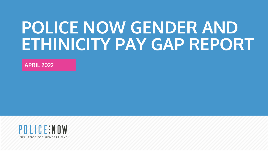# **POLICE NOW GENDER AND ETHINICITY PAY GAP REPORT**

**APRIL 2022**

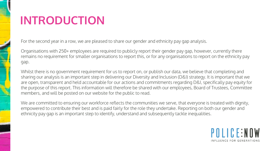# **INTRODUCTION**

For the second year in a row, we are pleased to share our gender and ethnicity pay gap analysis.

Organisations with 250+ employees are required to publicly report their gender pay gap, however, currently there remains no requirement for smaller organisations to report this, or for any organisations to report on the ethnicity pay gap.

Whilst there is no government requirement for us to report on, or publish our data, we believe that completing and sharing our analysis is an important step in delivering our Diversity and Inclusion (D&I) strategy. It is important that we are open, transparent and held accountable for our actions and commitments regarding D&I, specifically pay equity for the purpose of this report. This information will therefore be shared with our employees, Board of Trustees, Committee members, and will be posted on our website for the public to read.

We are committed to ensuring our workforce reflects the communities we serve, that everyone is treated with dignity, empowered to contribute their best and is paid fairly for the role they undertake. Reporting on both our gender and ethnicity pay gap is an important step to identify, understand and subsequently tackle inequalities.

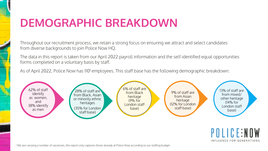### **DEMOGRAPHIC BREAKDOWN**

Throughout our recruitment process, we retain a strong focus on ensuring we attract and select candidates from diverse backgrounds to join Police Now HQ.

The data in this report is taken from our April 2022 payroll information and the self-identified equal opportunities forms completed on a voluntary basis by staff.

As of April 2022, Police Now has 110<sup>1</sup> employees. This staff base has the following demographic breakdown:



**POLICE:NOW** INFLUENCE FOR GENERATIONS

<sup>1</sup> We are carrying a number of vacancies, this report only captures those already at Police Now according to our staffing budget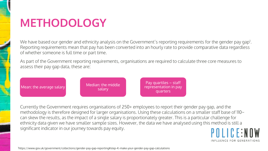### **METHODOLOGY**

We have based our gender and ethnicity analysis on the Government's reporting requirements for the gender pay gap<sup>1</sup>. Reporting requirements mean that pay has been converted into an hourly rate to provide comparative data regardless of whether someone is full time or part time.

As part of the Government reporting requirements, organisations are required to calculate three core measures to assess their pay gap data, these are:



Currently the Government requires organisations of 250+ employees to report their gender pay gap, and the methodology is therefore designed for larger organisations. Using these calculations on a smaller staff base of 110~ can skew the results, as the impact of a single salary is proportionately greater. This is a particular challenge for ethnicity data given we have smaller sample sizes. However, the data we have analysed using this method is still a significant indicator in our journey towards pay equity.  $\Pi \cup C$  F: N  $\Pi$  W

INFLUENCE FOR GENERATIONS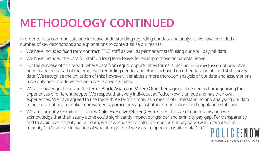### **METHODOLOGY CONTINUED**

In order to fully communicate and increase understanding regarding our data and analysis, we have provided a number of key descriptions and explanations to contextualise our results:

- We have included fixed term contract (FTC) staff as well as permanent staff using our April payroll data.
- We have included the data for staff on long term leave, for example those on parental leave.
- For the purpose of this report, where data from equal opportunities forms is lacking, **informed assumptions** have been made on behalf of the employee regarding gender and ethnicity based on other data points and staff survey data. We recognise the limitation of this; however, it enables a more thorough analysis of our data and assumptions have only been made where we have relative certainty.
- We acknowledge that using the terms Black, Asian and Mixed/Other heritage can be seen as homogenising the experiences of different people. We respect that every individual at Police Now is unique and has their own experiences. We have agreed to use these three terms simply as a means of understanding and analysing our data to help us continue to make improvements, particularly against other organisations and population statistics.
- We are currently recruiting for a new Chief Executive Officer (CEO). Given the size of our organisation we acknowledge that their salary alone could significantly impact our gender and ethnicity pay gap. For transparency, and to avoid oversimplifying our data, we have chosen to calculate our current pay gaps (with a female ethnic minority CEO), and an indication of what it might be if we were to appoint a white male CEO.

INFLUENCE FOR GENERATIONS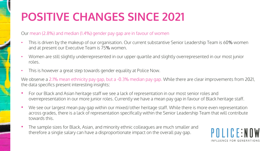# **POSITIVE CHANGES SINCE 2021**

#### Our mean (2.8%) and median (1.4%) gender pay gap are in favour of women

- This is driven by the makeup of our organisation. Our current substantive Senior Leadership Team is 60% women and at present our Executive Team is 75% women.
- Women are still slightly underrepresented in our upper quartile and slightly overrepresented in our most junior roles.
- This is however a great step towards gender equality at Police Now.

We observe a 2.1% mean ethnicity pay gap, but a -0.3% median pay gap. While there are clear improvements from 2021, the data specifics present interesting insights:

- For our Black and Asian heritage staff we see a lack of representation in our most senior roles and overrepresentation in our more junior roles. Currently we have a mean pay gap in favour of Black heritage staff.
- We see our largest mean pay gap within our mixed/other heritage staff. While there is more even representation across grades, there is a lack of representation specifically within the Senior Leadership Team that will contribute towards this.
- The sample sizes for Black, Asian, and minority ethnic colleagues are much smaller and therefore a single salary can have a disproportionate impact on the overall pay gap.

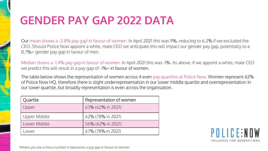### **GENDER PAY GAP 2022 DATA**

Our mean shows a -2.8% pay gap<sup>1</sup> in favour of women. In April 2021 this was 9%, reducing to 6.2% if we excluded the CEO. Should Police Now appoint a white, male CEO we anticipate this will impact our gender pay gap, potentially to a 0.7%~ gender pay gap in favour of men.

Median shows a -1.4% pay gap in favour of women. In April 2021 this was -1%. As above, if we appoint a white, male CEO we predict this will result in a pay gap of -1%~ in favour of women.

The table below shows the representation of women across 4 even pay quartiles at Police Now. Women represent 62% of Police Now HQ, therefore there is slight underrepresentation in our lower middle quartile and overrepresentation in our lower quartile, but broadly representation is even across the organisation.

| Quartile     | Representation of women |
|--------------|-------------------------|
| Upper        | 63% (62% in 2021)       |
| Upper Middle | 62% (78% in 2021)       |
| Lower Middle | 56% (62% in 2021)       |
| ower         | 67% (78% in 2021)       |

POLICE:NOW INFLUENCE FOR GENERATIONS

<sup>1</sup>Where you see a minus number it represents a pay gap in favour of women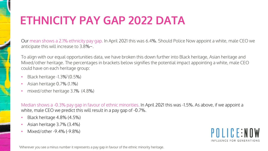# **ETHNICITY PAY GAP 2022 DATA**

Our mean shows a 2.1% ethnicity pay gap. In April 2021 this was 6.4%. Should Police Now appoint a white, male CEO we anticipate this will increase to 3.8%~.

To align with our equal opportunities data, we have broken this down further into Black heritage, Asian heritage and Mixed/other heritage. The percentages in brackets below signifies the potential impact appointing a white, male CEO could have on each heritage group:

- Black heritage  $-1.3\%$ <sup>1</sup> (0.5%)
- Asian heritage 0.7% (1.1%)
- mixed/other heritage 3.1% (4.8%)

Median shows a -0.3% pay gap in favour of ethnic minorities. In April 2021 this was -1.5%. As above, if we appoint a white, male CEO we predict this will result in a pay gap of -0.7%.

- Black heritage 4.8% (4.5%)
- Asian heritage 3.7% (3.4%)
- Mixed/other -9.4% (-9.8%)

POLICE:NOW INFLUENCE FOR GENERATIONS

<sup>1</sup>Wherever you see a minus number it represents a pay gap in favour of the ethnic minority heritage.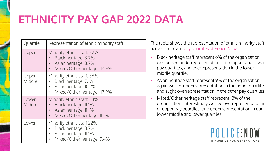# **ETHNICITY PAY GAP 2022 DATA**

| Quartile        | Representation of ethnic minority staff                                                                     |
|-----------------|-------------------------------------------------------------------------------------------------------------|
| Upper           | Minority ethnic staff: 22%<br>Black heritage: 3.7%<br>Asian heritage: 3.7%<br>Mixed/Other heritage: 14.8%   |
| Upper<br>Middle | Minority ethnic staff: 36%<br>Black heritage: 7.1%<br>Asian heritage: 10.7%<br>Mixed/Other heritage: 17.9%  |
| Lower<br>Middle | Minority ethnic staff: 33%<br>Black heritage: 11.1%<br>Asian heritage: 11.1%<br>Mixed/Other heritage: 11.1% |
| Lower           | Minority ethnic staff 22%<br>Black heritage: 3.7%<br>Asian heritage: 11.1%<br>Mixed/Other heritage: 7.4%    |

The table shows the representation of ethnic minority staff across four even pay quartiles at Police Now.

- Black heritage staff represent 6% of the organisation, we can see underrepresentation in the upper and lower pay quartiles, and overrepresentation in the lower middle quartile.
- Asian heritage staff represent 9% of the organisation, again we see underrepresentation in the upper quartile, and slight overrepresentation in the other pay quartiles.
- Mixed/Other heritage staff represent 13% of the organisation, interestingly we see overrepresentation in or upper pay quartiles, and underrepresentation in our lower middle and lower quartiles.